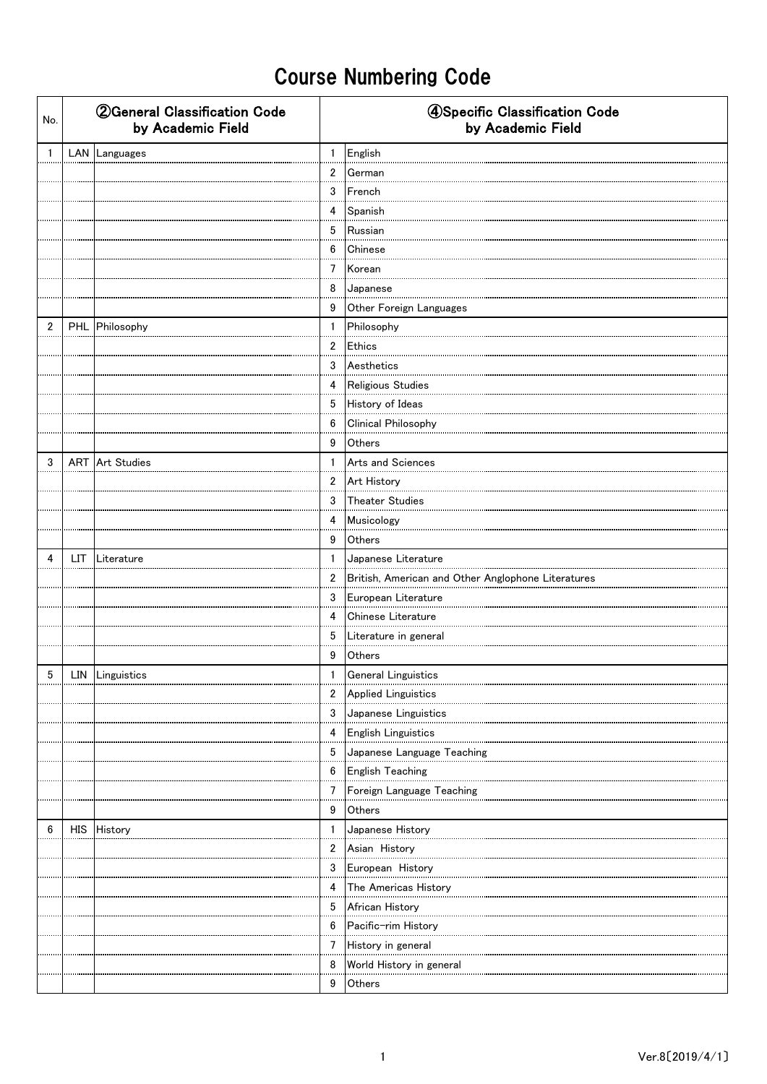| No.            | <b>2 General Classification Code</b><br>by Academic Field |                | 4Specific Classification Code<br>by Academic Field |
|----------------|-----------------------------------------------------------|----------------|----------------------------------------------------|
| $\mathbf{1}$   | LAN Languages                                             | $\mathbf{1}$   | English                                            |
|                |                                                           | $\overline{2}$ | German                                             |
|                |                                                           | 3              | French                                             |
|                |                                                           | $\overline{4}$ | Spanish                                            |
|                |                                                           | 5              | Russian                                            |
|                |                                                           | 6              | Chinese                                            |
|                |                                                           | $7^{\circ}$    | Korean                                             |
|                |                                                           | 8              | Japanese                                           |
|                |                                                           | 9              | Other Foreign Languages                            |
| $\overline{2}$ | PHL Philosophy                                            | $\mathbf{1}$   | Philosophy                                         |
|                |                                                           | $\overline{2}$ | Ethics                                             |
|                |                                                           | 3              | Aesthetics                                         |
|                |                                                           | 4              | Religious Studies                                  |
|                |                                                           | 5              | History of Ideas                                   |
|                |                                                           | 6              | Clinical Philosophy                                |
|                |                                                           | 9              | Others                                             |
| 3              | <b>ART</b> Art Studies                                    | $\mathbf{1}$   | Arts and Sciences                                  |
|                |                                                           | $\overline{2}$ | Art History                                        |
|                |                                                           | 3              | Theater Studies                                    |
|                |                                                           | 4              | Musicology                                         |
|                |                                                           | 9              | Others                                             |
| 4              | LIT Literature                                            | $\mathbf{1}$   | Japanese Literature                                |
|                |                                                           | $\overline{2}$ | British, American and Other Anglophone Literatures |
|                |                                                           | 3              | European Literature                                |
|                |                                                           | 4              | Chinese Literature                                 |
|                |                                                           | 5              | Literature in general                              |
|                |                                                           | 9              | Others                                             |
| 5              | LIN Linguistics                                           | $\mathbf{1}$   | <b>General Linguistics</b>                         |
|                |                                                           | 2              | Applied Linguistics                                |
|                |                                                           | 3              | Japanese Linguistics                               |
|                |                                                           | 4              | English Linguistics                                |
|                |                                                           | 5              | Japanese Language Teaching                         |
|                |                                                           | 6              | English Teaching                                   |
|                |                                                           | 7              | Foreign Language Teaching                          |
|                |                                                           | 9              | Others                                             |
| 6              | HIS History                                               | $\mathbf{1}$   | Japanese History                                   |
|                |                                                           | $\overline{2}$ | Asian History                                      |
|                |                                                           | 3              | European History                                   |
|                |                                                           | 4              |                                                    |
|                |                                                           | 5              | African History                                    |
|                |                                                           | 6              | Pacific-rim History                                |
|                |                                                           | 7              | History in general                                 |
|                |                                                           | 8              | World History in general                           |
|                |                                                           | 9              | Others                                             |
|                |                                                           |                |                                                    |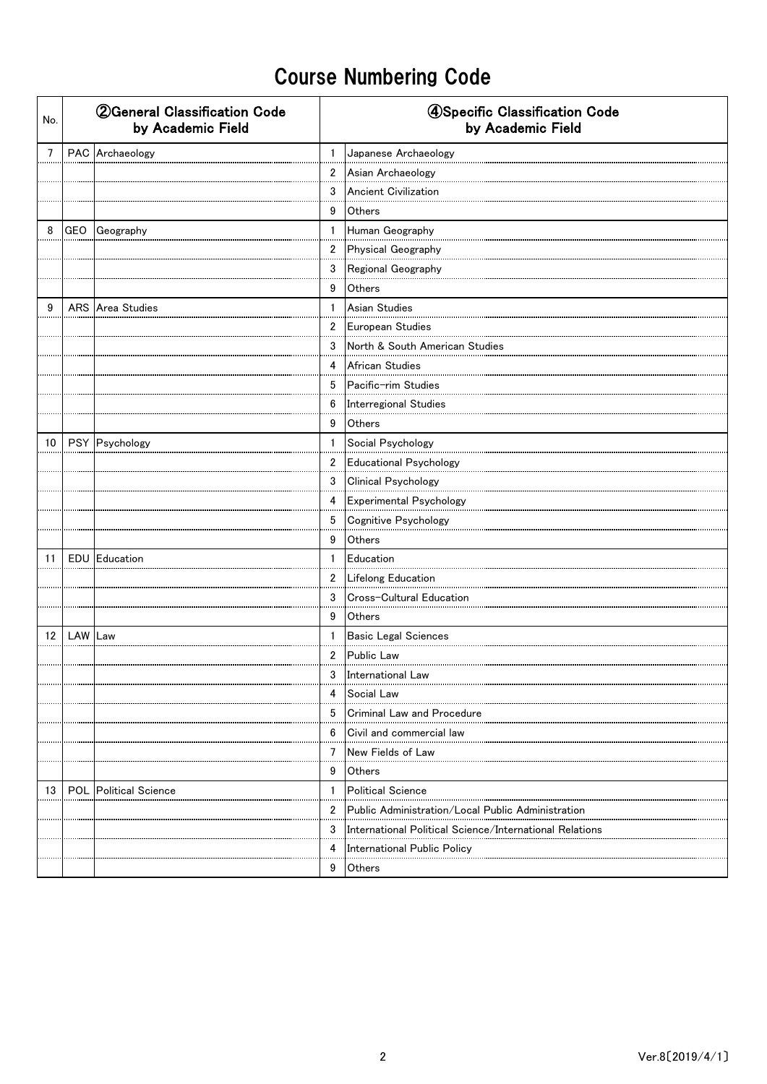| No.            |            | <b>2 General Classification Code</b><br>by Academic Field |                | 4Specific Classification Code<br>by Academic Field      |  |  |
|----------------|------------|-----------------------------------------------------------|----------------|---------------------------------------------------------|--|--|
| $\overline{7}$ |            | PAC Archaeology                                           | $\mathbf{1}$   | Japanese Archaeology                                    |  |  |
|                |            |                                                           | $2^{\circ}$    | Asian Archaeology                                       |  |  |
|                |            |                                                           | 3              | <b>Ancient Civilization</b>                             |  |  |
|                |            |                                                           | 9              | Others                                                  |  |  |
| 8              |            | GEO Geography                                             | 1              | Human Geography                                         |  |  |
|                |            |                                                           | $\overline{2}$ | Physical Geography                                      |  |  |
|                |            |                                                           | 3              | Regional Geography                                      |  |  |
|                |            |                                                           | 9              | Others                                                  |  |  |
| 9              |            | ARS Area Studies                                          | $\mathbf{1}$   | Asian Studies                                           |  |  |
|                |            |                                                           | $\overline{2}$ | European Studies                                        |  |  |
|                |            |                                                           | 3              | North & South American Studies                          |  |  |
|                |            |                                                           | 4              | African Studies                                         |  |  |
|                |            |                                                           | 5              | Pacific-rim Studies<br>                                 |  |  |
|                |            |                                                           | 6              | Interregional Studies                                   |  |  |
|                |            |                                                           | 9              | Others                                                  |  |  |
| 10             |            | PSY Psychology                                            | $\mathbf{1}$   | Social Psychology                                       |  |  |
|                |            |                                                           | $\overline{2}$ | Educational Psychology                                  |  |  |
|                |            |                                                           | 3              | Clinical Psychology                                     |  |  |
|                |            |                                                           | 4              | Experimental Psychology                                 |  |  |
|                |            |                                                           | 5              | Cognitive Psychology                                    |  |  |
|                |            |                                                           | 9              | Others                                                  |  |  |
| 11             |            | <b>EDU</b> Education                                      | $\mathbf{1}$   | Education                                               |  |  |
|                |            |                                                           | $\mathbf{2}$   | Lifelong Education                                      |  |  |
|                |            |                                                           | 3              | Cross-Cultural Education                                |  |  |
|                |            |                                                           | 9              | <b>Others</b>                                           |  |  |
|                | 12 LAW Law |                                                           | 1              | Basic Legal Sciences                                    |  |  |
|                |            |                                                           | $\overline{2}$ | <b>Public Law</b>                                       |  |  |
|                |            |                                                           | 3              | International Law                                       |  |  |
|                |            |                                                           | 4              | Social Law                                              |  |  |
|                |            |                                                           | 5              | Criminal Law and Procedure                              |  |  |
|                |            |                                                           | 6              | Civil and commercial law                                |  |  |
|                |            |                                                           | 7              | New Fields of Law                                       |  |  |
|                |            |                                                           | 9              | <b>Others</b>                                           |  |  |
| 13             |            | <b>POL</b> Political Science                              | $\mathbf{1}$   | <b>Political Science</b>                                |  |  |
|                |            |                                                           | $\overline{2}$ | Public Administration/Local Public Administration       |  |  |
|                |            |                                                           | 3              | International Political Science/International Relations |  |  |
|                |            |                                                           | 4              | International Public Policy                             |  |  |
|                |            |                                                           | 9              | Others                                                  |  |  |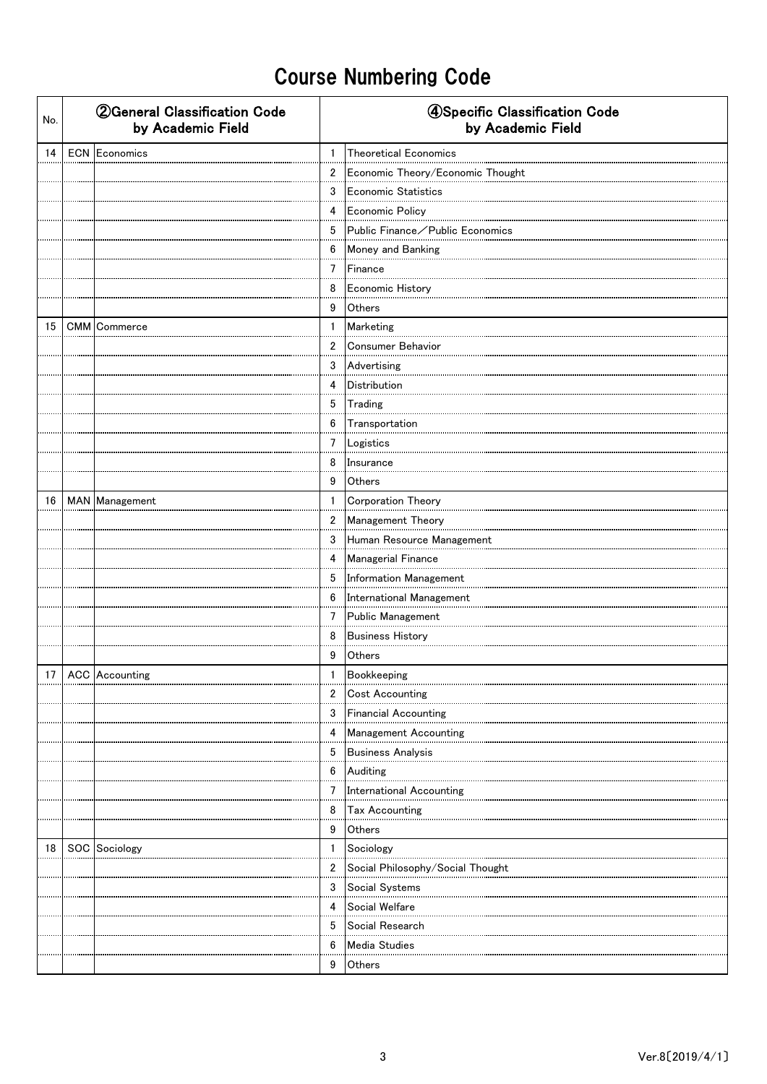| No. | <b>2 General Classification Code</b><br>by Academic Field |                 | 4Specific Classification Code<br>by Academic Field |
|-----|-----------------------------------------------------------|-----------------|----------------------------------------------------|
| 14  | <b>ECN</b> Economics                                      | $\mathbf{1}$    | Theoretical Economics                              |
|     |                                                           | $\overline{2}$  | Economic Theory/Economic Thought                   |
|     |                                                           | 3               | <b>Economic Statistics</b>                         |
|     |                                                           | 4               | Economic Policy                                    |
|     |                                                           | 5               | Public Finance / Public Economics                  |
|     |                                                           | 6               | Money and Banking                                  |
|     |                                                           | $\overline{7}$  | Finance                                            |
|     |                                                           | 8               | Economic History                                   |
|     |                                                           | 9               | Others                                             |
| 15  | CMM Commerce                                              | $\mathbf{1}$    | Marketing                                          |
|     |                                                           | $\overline{2}$  | Consumer Behavior                                  |
|     |                                                           | 3               | Advertising                                        |
|     |                                                           | 4               | Distribution                                       |
|     |                                                           | $5\phantom{.0}$ | Trading                                            |
|     |                                                           | 6               | Transportation                                     |
|     |                                                           | 7               | Logistics                                          |
|     |                                                           | 8               | Insurance                                          |
|     |                                                           | 9               | Others                                             |
| 16  | MAN Management                                            | $\mathbf{1}$    | Corporation Theory                                 |
|     |                                                           |                 | 2 Management Theory                                |
|     |                                                           | 3               | Human Resource Management                          |
|     |                                                           | 4               | Managerial Finance                                 |
|     |                                                           | 5               | Information Management                             |
|     |                                                           | 6               | International Management                           |
|     |                                                           | $\overline{7}$  | Public Management                                  |
|     |                                                           | 8               | <b>Business History</b>                            |
|     |                                                           | 9               | Others                                             |
|     | 17 ACC Accounting                                         | $\mathbf{1}$    | Bookkeeping                                        |
|     |                                                           | 2               | <b>Cost Accounting</b>                             |
|     |                                                           | 3               | <b>Financial Accounting</b>                        |
|     |                                                           | 4               | Management Accounting                              |
|     |                                                           | 5               | Business Analysis                                  |
|     |                                                           | 6               | Auditing                                           |
|     |                                                           | 7               | <b>International Accounting</b>                    |
|     |                                                           | 8               | Tax Accounting                                     |
|     |                                                           | 9               | Others                                             |
| 18  | SOC Sociology                                             | $\mathbf{1}$    | Sociology                                          |
|     |                                                           | $\overline{2}$  | Social Philosophy/Social Thought                   |
|     |                                                           | 3               | Social Systems                                     |
|     |                                                           | 4               | Social Welfare                                     |
|     |                                                           | 5               | Social Research                                    |
|     |                                                           | 6               | Media Studies                                      |
|     |                                                           | 9               | Others                                             |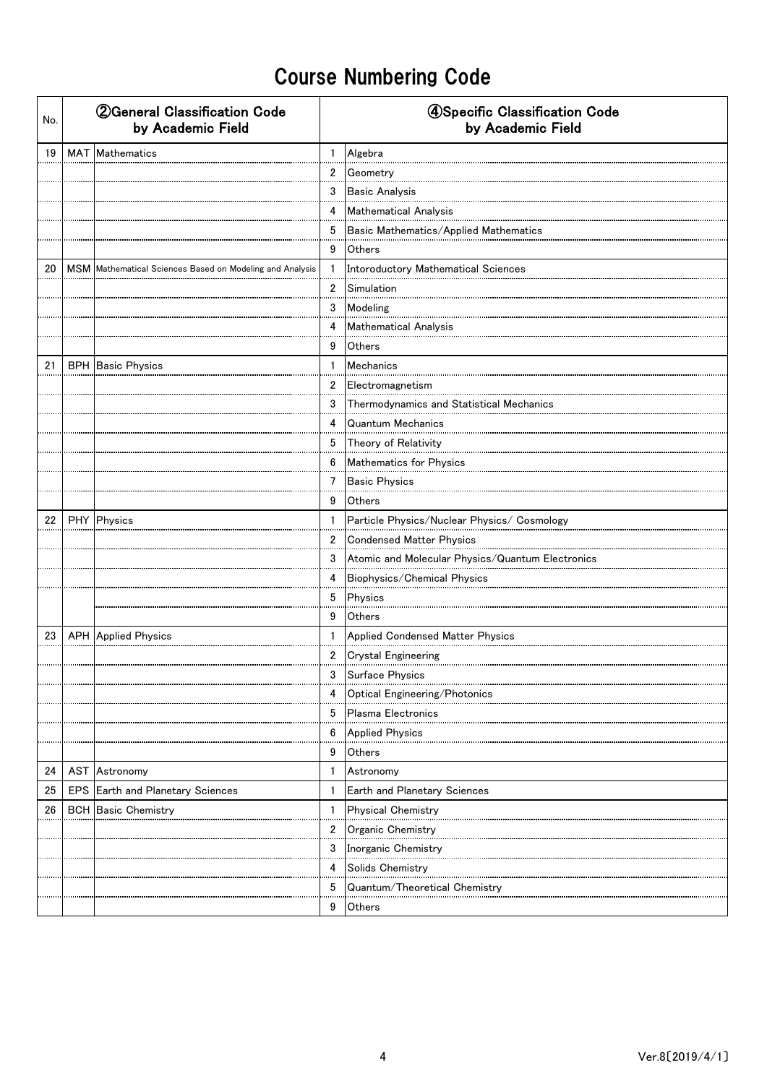| No. | <b>2 General Classification Code</b><br>by Academic Field |                                                          |                | 4Specific Classification Code<br>by Academic Field |  |  |  |
|-----|-----------------------------------------------------------|----------------------------------------------------------|----------------|----------------------------------------------------|--|--|--|
| 19  |                                                           | MAT Mathematics                                          | $\mathbf{1}$   | Algebra                                            |  |  |  |
|     |                                                           |                                                          | $\overline{2}$ | Geometry                                           |  |  |  |
|     |                                                           |                                                          | 3              | <b>Basic Analysis</b>                              |  |  |  |
|     |                                                           |                                                          | 4              | Mathematical Analysis                              |  |  |  |
|     |                                                           |                                                          | 5              | Basic Mathematics/Applied Mathematics              |  |  |  |
|     |                                                           |                                                          | 9              | Others                                             |  |  |  |
| 20  |                                                           | MSM Mathematical Sciences Based on Modeling and Analysis | 1              | Intoroductory Mathematical Sciences                |  |  |  |
|     |                                                           |                                                          | $\overline{2}$ | Simulation                                         |  |  |  |
|     |                                                           |                                                          | 3              | Modeling                                           |  |  |  |
|     |                                                           |                                                          | 4              | Mathematical Analysis                              |  |  |  |
|     |                                                           |                                                          | 9              | <b>Others</b>                                      |  |  |  |
| 21  |                                                           | <b>BPH</b> Basic Physics                                 | $\mathbf{1}$   | <b>Mechanics</b>                                   |  |  |  |
|     |                                                           |                                                          | 2              | Electromagnetism                                   |  |  |  |
|     |                                                           |                                                          | 3              | Thermodynamics and Statistical Mechanics           |  |  |  |
|     |                                                           |                                                          | 4              | <b>Quantum Mechanics</b>                           |  |  |  |
|     |                                                           |                                                          | 5              | Theory of Relativity                               |  |  |  |
|     |                                                           |                                                          | 6              | Mathematics for Physics                            |  |  |  |
|     |                                                           |                                                          | 7              | <b>Basic Physics</b>                               |  |  |  |
|     |                                                           |                                                          | 9              | Others                                             |  |  |  |
| 22  |                                                           | PHY Physics                                              | $\mathbf{1}$   | Particle Physics/Nuclear Physics/ Cosmology        |  |  |  |
|     |                                                           |                                                          | 2              | Condensed Matter Physics                           |  |  |  |
|     |                                                           |                                                          | 3              | Atomic and Molecular Physics/Quantum Electronics   |  |  |  |
|     |                                                           |                                                          | 4              | Biophysics/Chemical Physics                        |  |  |  |
|     |                                                           |                                                          | 5              | Physics                                            |  |  |  |
|     |                                                           |                                                          | 9              | Others                                             |  |  |  |
| 23  |                                                           | <b>APH</b> Applied Physics                               | $\mathbf{1}$   | Applied Condensed Matter Physics                   |  |  |  |
|     |                                                           |                                                          | 2              | <b>Crystal Engineering</b>                         |  |  |  |
|     |                                                           |                                                          | 3              | Surface Physics                                    |  |  |  |
|     |                                                           |                                                          | 4              | Optical Engineering/Photonics                      |  |  |  |
|     |                                                           |                                                          | 5              | Plasma Electronics                                 |  |  |  |
|     |                                                           |                                                          | 6              | <b>Applied Physics</b>                             |  |  |  |
|     |                                                           |                                                          | 9              | Others                                             |  |  |  |
| 24  |                                                           | <b>AST</b> Astronomy                                     | 1              | Astronomy                                          |  |  |  |
| 25  |                                                           | EPS Earth and Planetary Sciences                         | $\mathbf{1}$   | Earth and Planetary Sciences                       |  |  |  |
| 26  |                                                           | <b>BCH</b> Basic Chemistry                               | 1              | <b>Physical Chemistry</b>                          |  |  |  |
|     |                                                           |                                                          | $\overline{2}$ | Organic Chemistry                                  |  |  |  |
|     |                                                           |                                                          | 3              | Inorganic Chemistry                                |  |  |  |
|     |                                                           |                                                          | 4              | Solids Chemistry                                   |  |  |  |
|     |                                                           |                                                          | 5              | Quantum/Theoretical Chemistry                      |  |  |  |
|     |                                                           |                                                          | 9              | Others                                             |  |  |  |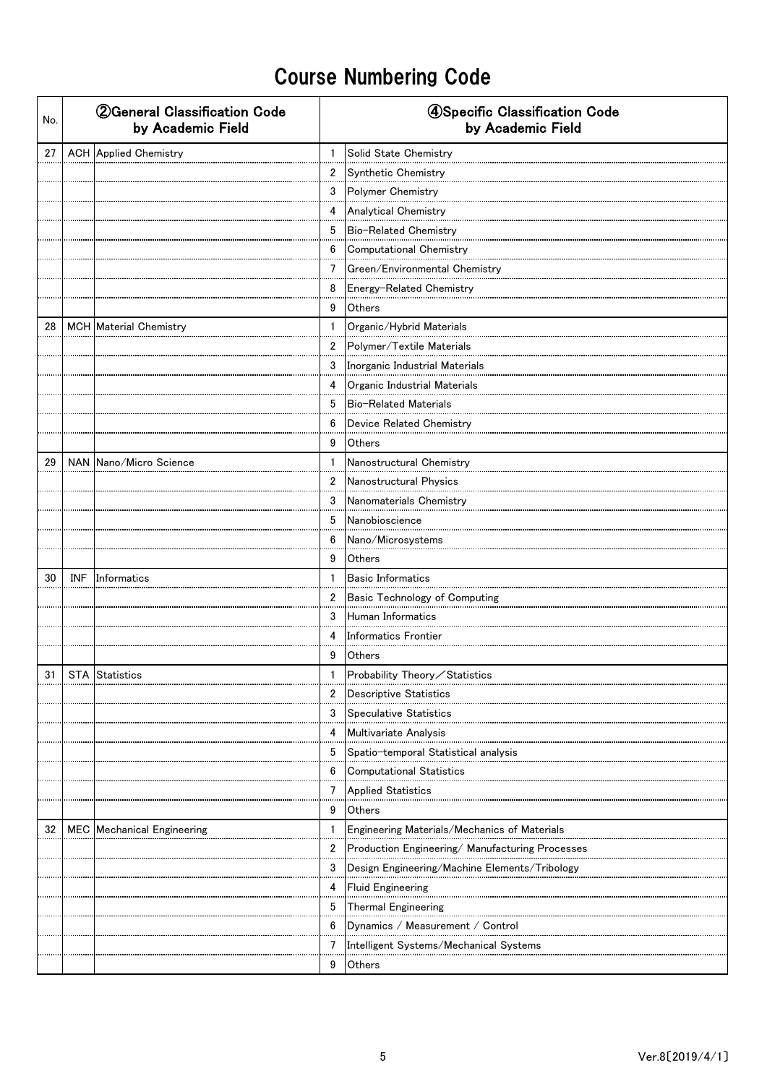| No. | <b>2 General Classification Code</b><br>by Academic Field |                | 4Specific Classification Code<br>by Academic Field |
|-----|-----------------------------------------------------------|----------------|----------------------------------------------------|
| 27  | <b>ACH</b> Applied Chemistry                              | $\mathbf{1}$   | Solid State Chemistry                              |
|     |                                                           | $\overline{2}$ | Synthetic Chemistry                                |
|     |                                                           | 3              | Polymer Chemistry                                  |
|     |                                                           | 4              | <b>Analytical Chemistry</b>                        |
|     |                                                           | 5              | Bio-Related Chemistry                              |
|     |                                                           | 6              | Computational Chemistry                            |
|     |                                                           | $\overline{7}$ | Green/Environmental Chemistry                      |
|     |                                                           | 8              | Energy-Related Chemistry                           |
|     |                                                           | 9              | Others                                             |
| 28  | MCH Material Chemistry                                    | $\mathbf{1}$   | Organic/Hybrid Materials                           |
|     |                                                           | $\overline{2}$ | Polymer/Textile Materials                          |
|     |                                                           | 3              | Inorganic Industrial Materials                     |
|     |                                                           | 4              | Organic Industrial Materials                       |
|     |                                                           | 5              | Bio-Related Materials                              |
|     |                                                           | 6              | Device Related Chemistry                           |
|     |                                                           | 9              | Others                                             |
| 29  | NAN Nano/Micro Science                                    | $\mathbf{1}$   | Nanostructural Chemistry                           |
|     |                                                           | $\overline{2}$ | Nanostructural Physics                             |
|     |                                                           | 3              | Nanomaterials Chemistry                            |
|     |                                                           | 5              | Nanobioscience                                     |
|     |                                                           | 6              | Nano/Microsystems                                  |
|     |                                                           | 9              | Others                                             |
| 30  | <b>INF</b> Informatics                                    | $\mathbf{1}$   | <b>Basic Informatics</b>                           |
|     |                                                           | $\mathbf{2}$   | <b>Basic Technology of Computing</b>               |
|     |                                                           | 3              | Human Informatics                                  |
|     |                                                           | 4              | <b>Informatics Frontier</b>                        |
|     |                                                           | 9              | Others                                             |
| 31  | STA Statistics                                            | $\mathbf{1}$   | Probability Theory / Statistics                    |
|     |                                                           | 2              | <b>Descriptive Statistics</b>                      |
|     |                                                           | 3              | <b>Speculative Statistics</b>                      |
|     |                                                           | 4              | Multivariate Analysis                              |
|     |                                                           | 5              | Spatio-temporal Statistical analysis               |
|     |                                                           | 6              | <b>Computational Statistics</b>                    |
|     |                                                           | 7              | <b>Applied Statistics</b>                          |
|     |                                                           | 9              | Others                                             |
| 32  | MEC Mechanical Engineering                                | 1              | Engineering Materials/Mechanics of Materials       |
|     |                                                           | 2              | Production Engineering/ Manufacturing Processes    |
|     |                                                           | 3              | Design Engineering/Machine Elements/Tribology      |
|     |                                                           | 4              | <b>Fluid Engineering</b>                           |
|     |                                                           | 5              | Thermal Engineering                                |
|     |                                                           | 6              | Dynamics / Measurement / Control                   |
|     |                                                           | 7              | Intelligent Systems/Mechanical Systems             |
|     |                                                           | 9              | Others                                             |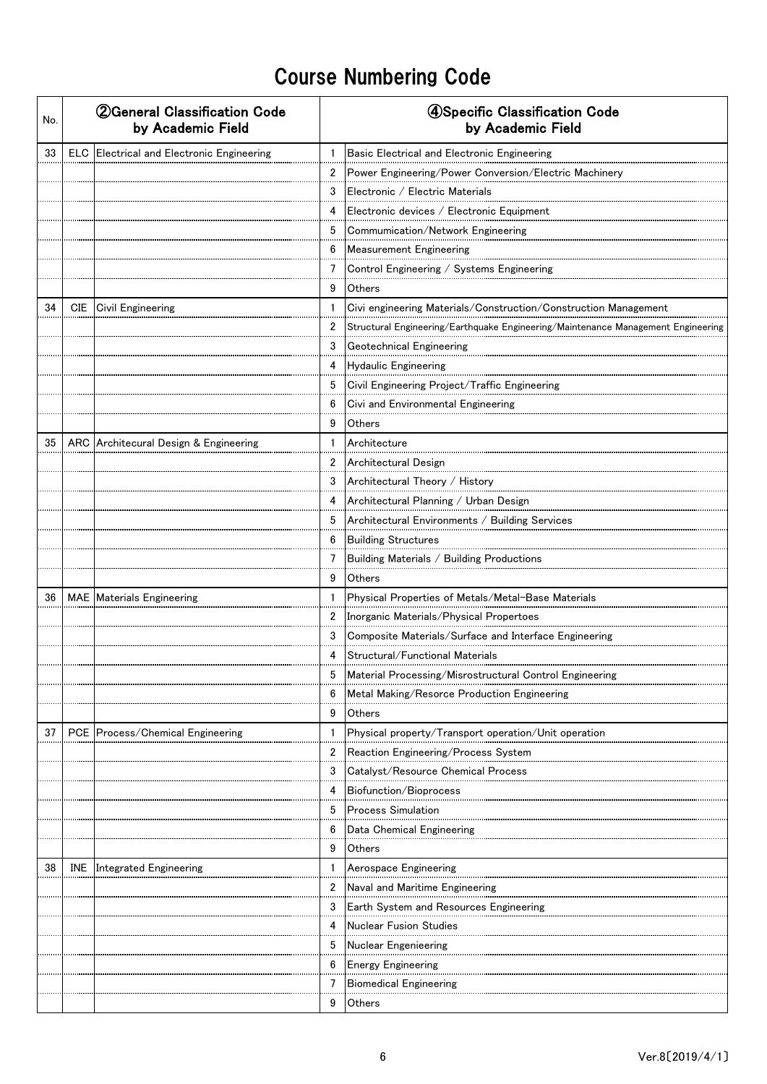| No. | <b>2 General Classification Code</b><br>by Academic Field |              | 4Specific Classification Code<br>by Academic Field                               |
|-----|-----------------------------------------------------------|--------------|----------------------------------------------------------------------------------|
| 33  | <b>ELC</b> Electrical and Electronic Engineering          | $\mathbf{1}$ | Basic Electrical and Electronic Engineering                                      |
|     |                                                           | 2            | Power Engineering/Power Conversion/Electric Machinery                            |
|     |                                                           | 3            | Electronic / Electric Materials                                                  |
|     |                                                           | 4            | Electronic devices / Electronic Equipment                                        |
|     |                                                           | 5            | Commumication/Network Engineering                                                |
|     |                                                           | 6            | <b>Measurement Engineering</b>                                                   |
|     |                                                           | 7            | Control Engineering / Systems Engineering                                        |
|     |                                                           | 9            | Others                                                                           |
| 34  | CIE Civil Engineering                                     | 1            | Civi engineering Materials/Construction/Construction Management                  |
|     |                                                           | 2            | Structural Engineering/Earthquake Engineering/Maintenance Management Engineering |
|     |                                                           | 3            | Geotechnical Engineering                                                         |
|     |                                                           | 4            | <b>Hydaulic Engineering</b>                                                      |
|     |                                                           | 5            | Civil Engineering Project/Traffic Engineering                                    |
|     |                                                           | 6            | Civi and Environmental Engineering                                               |
|     |                                                           | 9            | Others                                                                           |
| 35  | ARC Architecural Design & Engineering                     | $\mathbf{1}$ | Architecture                                                                     |
|     |                                                           | 2            | Architectural Design                                                             |
|     |                                                           | 3            | Architectural Theory / History                                                   |
|     |                                                           | 4            | Architectural Planning / Urban Design                                            |
|     |                                                           | 5            | Architectural Environments / Building Services                                   |
|     |                                                           | 6            | Building Structures                                                              |
|     |                                                           | 7            | Building Materials / Building Productions                                        |
|     |                                                           | 9            | Others                                                                           |
| 36  | MAE Materials Engineering                                 | 1            | Physical Properties of Metals/Metal-Base Materials                               |
|     |                                                           | 2            | Inorganic Materials/Physical Propertoes                                          |
|     |                                                           | 3            | Composite Materials/Surface and Interface Engineering                            |
|     |                                                           | 4            | Structural/Functional Materials                                                  |
|     |                                                           | 5            | Material Processing/Misrostructural Control Engineering                          |
|     |                                                           | 6            | Metal Making/Resorce Production Engineering                                      |
|     |                                                           | 9            | Others                                                                           |
| 37  | PCE Process/Chemical Engineering                          |              | Physical property/Transport operation/Unit operation                             |
|     |                                                           | 2            | Reaction Engineering/Process System                                              |
|     |                                                           | 3            | Catalyst/Resource Chemical Process                                               |
|     |                                                           | 4            | Biofunction/Bioprocess                                                           |
|     |                                                           | 5            | <b>Process Simulation</b>                                                        |
|     |                                                           | 6            | Data Chemical Engineering                                                        |
|     |                                                           | 9            | Others                                                                           |
| 38  | <b>INE</b> Integrated Engineering                         | 1            | Aerospace Engineering                                                            |
|     |                                                           | 2            | Naval and Maritime Engineering                                                   |
|     |                                                           | 3            | Earth System and Resources Engineering                                           |
|     |                                                           | 4            | <b>Nuclear Fusion Studies</b>                                                    |
|     |                                                           | 5            | <b>Nuclear Engenieering</b>                                                      |
|     |                                                           | 6            | <b>Energy Engineering</b>                                                        |
|     |                                                           | 7            | <b>Biomedical Engineering</b>                                                    |
|     |                                                           | 9            | Others                                                                           |
|     |                                                           |              |                                                                                  |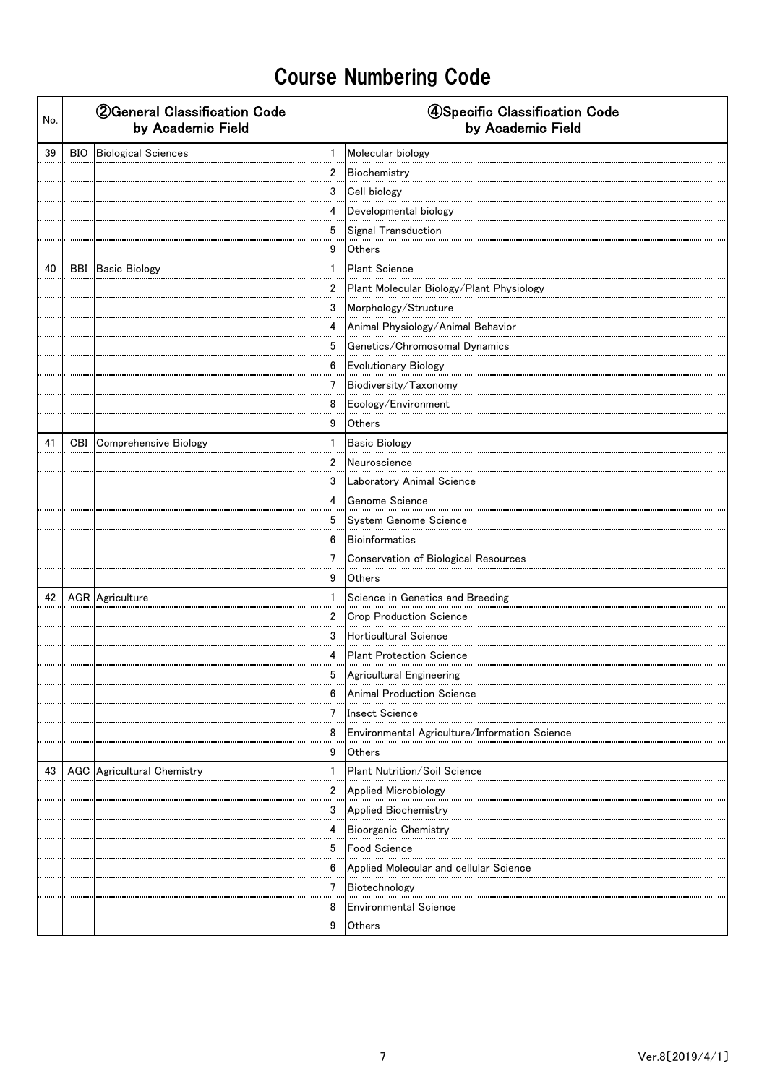| No. | <b>2 General Classification Code</b><br>by Academic Field |                | 4Specific Classification Code<br>by Academic Field |
|-----|-----------------------------------------------------------|----------------|----------------------------------------------------|
| 39  | BIO Biological Sciences                                   | $\mathbf{1}$   | Molecular biology                                  |
|     |                                                           | $\overline{2}$ | Biochemistry                                       |
|     |                                                           | 3              | Cell biology                                       |
|     |                                                           | 4              | Developmental biology                              |
|     |                                                           | 5              | Signal Transduction                                |
|     |                                                           | 9              | Others                                             |
| 40  | <b>BBI</b> Basic Biology                                  | $\mathbf{1}$   | <b>Plant Science</b>                               |
|     |                                                           | $\mathbf{2}$   | Plant Molecular Biology/Plant Physiology           |
|     |                                                           | 3              | Morphology/Structure                               |
|     |                                                           | 4              | Animal Physiology/Animal Behavior                  |
|     |                                                           | 5              | Genetics/Chromosomal Dynamics                      |
|     |                                                           | 6              | Evolutionary Biology                               |
|     |                                                           | 7              | Biodiversity/Taxonomy                              |
|     |                                                           | 8              | Ecology/Environment                                |
|     |                                                           | 9              | Others                                             |
| 41  | CBI Comprehensive Biology                                 | $\mathbf{1}$   | <b>Basic Biology</b>                               |
|     |                                                           | $\overline{2}$ | Neuroscience                                       |
|     |                                                           | 3              | Laboratory Animal Science                          |
|     |                                                           | 4              | Genome Science                                     |
|     |                                                           | 5              | System Genome Science                              |
|     |                                                           | 6              | <b>Bioinformatics</b>                              |
|     |                                                           | $\overline{7}$ | Conservation of Biological Resources               |
|     |                                                           | 9              | Others                                             |
| 42  | AGR Agriculture                                           | $\mathbf{1}$   | Science in Genetics and Breeding                   |
|     |                                                           | $\overline{2}$ | Crop Production Science                            |
|     |                                                           | 3              | Horticultural Science                              |
|     |                                                           | 4              | <b>Plant Protection Science</b>                    |
|     |                                                           | 5              | Agricultural Engineering                           |
|     |                                                           | 6              | Animal Production Science                          |
|     |                                                           | 7              | <b>Insect Science</b>                              |
|     |                                                           | 8              | Environmental Agriculture/Information Science      |
|     |                                                           | 9              | Others                                             |
| 43  | AGC Agricultural Chemistry                                |                | Plant Nutrition/Soil Science                       |
|     |                                                           | $\overline{2}$ | Applied Microbiology                               |
|     |                                                           | 3              | Applied Biochemistry                               |
|     |                                                           | 4              | Bioorganic Chemistry                               |
|     |                                                           | 5              | <b>Food Science</b>                                |
|     |                                                           | 6              | Applied Molecular and cellular Science             |
|     |                                                           | 7              | Biotechnology                                      |
|     |                                                           | 8              | <b>Environmental Science</b>                       |
|     |                                                           | 9              | Others                                             |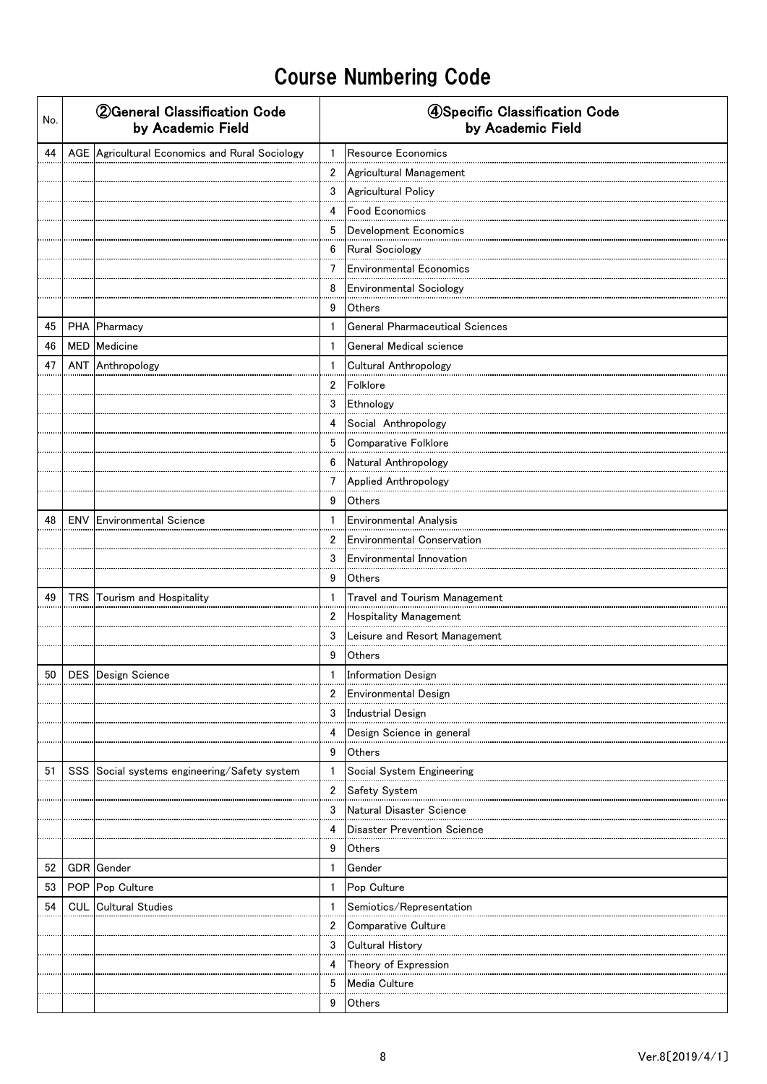| No. | <b>2 General Classification Code</b><br>by Academic Field |                                                |                | 4Specific Classification Code<br>by Academic Field          |  |  |
|-----|-----------------------------------------------------------|------------------------------------------------|----------------|-------------------------------------------------------------|--|--|
| 44  |                                                           | AGE Agricultural Economics and Rural Sociology | $\mathbf{1}$   | Resource Economics                                          |  |  |
|     |                                                           |                                                | $\overline{2}$ | Agricultural Management                                     |  |  |
|     |                                                           |                                                | 3              | Agricultural Policy                                         |  |  |
|     |                                                           |                                                | 4              | <b>Food Economics</b>                                       |  |  |
|     |                                                           |                                                | 5              | Development Economics                                       |  |  |
|     |                                                           |                                                | 6              | Rural Sociology                                             |  |  |
|     |                                                           |                                                | $\overline{7}$ | <b>Environmental Economics</b>                              |  |  |
|     |                                                           |                                                | 8              | <b>Environmental Sociology</b>                              |  |  |
|     |                                                           |                                                | 9              | Others                                                      |  |  |
| 45  |                                                           | PHA Pharmacy                                   | $\mathbf{1}$   | <b>General Pharmaceutical Sciences</b>                      |  |  |
| 46  |                                                           | MED Medicine                                   | $\mathbf{1}$   | General Medical science                                     |  |  |
| 47  |                                                           | <b>ANT</b> Anthropology                        | 1              | Cultural Anthropology                                       |  |  |
|     |                                                           |                                                | $\overline{2}$ | Folklore                                                    |  |  |
|     |                                                           |                                                | 3              | Ethnology                                                   |  |  |
|     |                                                           |                                                | 4              | Social Anthropology                                         |  |  |
|     |                                                           |                                                | 5              | Comparative Folklore                                        |  |  |
|     |                                                           |                                                | 6              | Natural Anthropology                                        |  |  |
|     |                                                           |                                                | 7              | Applied Anthropology                                        |  |  |
|     |                                                           |                                                | 9              | Others                                                      |  |  |
| 48  |                                                           | <b>ENV</b> Environmental Science               | $\mathbf{1}$   | Environmental Analysis                                      |  |  |
|     |                                                           |                                                | $\overline{2}$ | <b>Environmental Conservation</b>                           |  |  |
|     |                                                           |                                                | 3              | Environmental Innovation                                    |  |  |
|     |                                                           |                                                | 9              | Others                                                      |  |  |
| 49  |                                                           | TRS Tourism and Hospitality                    | $\mathbf{1}$   | Travel and Tourism Management                               |  |  |
|     |                                                           |                                                | $\overline{2}$ | Hospitality Management                                      |  |  |
|     |                                                           |                                                | 3              | Leisure and Resort Management                               |  |  |
|     |                                                           |                                                | 9              | Others                                                      |  |  |
|     |                                                           | 50 DES Design Science                          |                | <b>Information Design</b>                                   |  |  |
|     |                                                           |                                                | 2              | <b>Environmental Design</b>                                 |  |  |
|     |                                                           |                                                | 3              | <b>Industrial Design</b>                                    |  |  |
|     |                                                           |                                                | 4              | Design Science in general                                   |  |  |
|     |                                                           |                                                | 9              | Others                                                      |  |  |
| 51  |                                                           | SSS Social systems engineering/Safety system   | 1<br>2         | Social System Engineering                                   |  |  |
|     |                                                           |                                                | 3              | Safety System                                               |  |  |
|     |                                                           |                                                | 4              | Natural Disaster Science<br><br>Disaster Prevention Science |  |  |
|     |                                                           |                                                | 9              | Others                                                      |  |  |
| 52  |                                                           | <b>GDR</b> Gender                              | $\mathbf{1}$   | Gender                                                      |  |  |
| 53  |                                                           | POP Pop Culture                                | $\mathbf{1}$   | Pop Culture                                                 |  |  |
| 54  |                                                           | <b>CUL</b> Cultural Studies                    | $\mathbf{1}$   | Semiotics/Representation                                    |  |  |
|     |                                                           |                                                | 2              | Comparative Culture                                         |  |  |
|     |                                                           |                                                | 3              | <b>Cultural History</b>                                     |  |  |
|     |                                                           |                                                | 4              | Theory of Expression                                        |  |  |
|     |                                                           |                                                | 5              | Media Culture                                               |  |  |
|     |                                                           |                                                | 9              | Others                                                      |  |  |
|     |                                                           |                                                |                |                                                             |  |  |